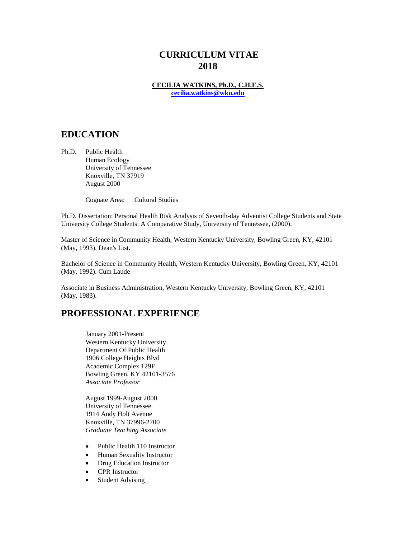# **CURRICULUM VITAE 2018**

**CECILIA WATKINS, Ph.D., C.H.E.S. [cecilia.watkins@wku.edu](mailto:cecilia.watkins@wku.edu)**

# **EDUCATION**

Ph.D. Public Health Human Ecology University of Tennessee Knoxville, TN 37919 August 2000

Cognate Area: Cultural Studies

Ph.D. Dissertation: Personal Health Risk Analysis of Seventh-day Adventist College Students and State University College Students: A Comparative Study, University of Tennessee, (2000).

Master of Science in Community Health, Western Kentucky University, Bowling Green, KY, 42101 (May, 1993). Dean's List.

Bachelor of Science in Community Health, Western Kentucky University, Bowling Green, KY, 42101 (May, 1992). Cum Laude

Associate in Business Administration, Western Kentucky University, Bowling Green, KY, 42101 (May, 1983).

# **PROFESSIONAL EXPERIENCE**

January 2001-Present Western Kentucky University Department Of Public Health 1906 College Heights Blvd Academic Complex 129F Bowling Green, KY 42101-3576 *Associate Professor*

August 1999-August 2000 University of Tennessee 1914 Andy Holt Avenue Knoxville, TN 37996-2700 *Graduate Teaching Associate*

- Public Health 110 Instructor
- Human Sexuality Instructor
- Drug Education Instructor
- CPR Instructor
- Student Advising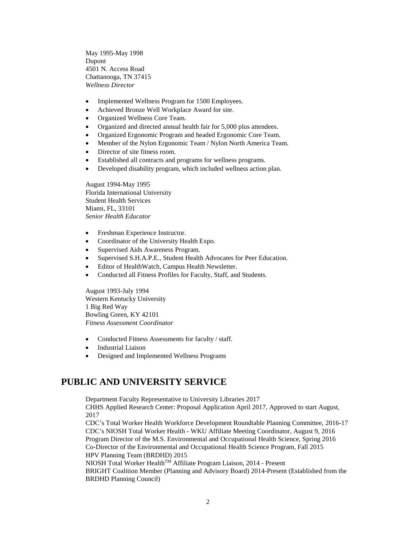May 1995-May 1998 Dupont 4501 N. Access Road Chattanooga, TN 37415 *Wellness Director*

- Implemented Wellness Program for 1500 Employees.
- Achieved Bronze Well Workplace Award for site.
- Organized Wellness Core Team.
- Organized and directed annual health fair for 5,000 plus attendees.
- Organized Ergonomic Program and headed Ergonomic Core Team.
- Member of the Nylon Ergonomic Team / Nylon North America Team.
- Director of site fitness room.
- Established all contracts and programs for wellness programs.
- Developed disability program, which included wellness action plan.

August 1994-May 1995 Florida International University Student Health Services Miami, FL, 33101 *Senior Health Educator*

- Freshman Experience Instructor.
- Coordinator of the University Health Expo.
- Supervised Aids Awareness Program.
- Supervised S.H.A.P.E., Student Health Advocates for Peer Education.
- Editor of HealthWatch, Campus Health Newsletter.
- Conducted all Fitness Profiles for Faculty, Staff, and Students.

August 1993-July 1994 Western Kentucky University 1 Big Red Way Bowling Green, KY 42101 *Fitness Assessment Coordinator*

- Conducted Fitness Assessments for faculty / staff.
- Industrial Liaison
- Designed and Implemented Wellness Programs

# **PUBLIC AND UNIVERSITY SERVICE**

Department Faculty Representative to University Libraries 2017 CHHS Applied Research Center: Proposal Application April 2017, Approved to start August, 2017 CDC's Total Worker Health Workforce Development Roundtable Planning Committee, 2016-17 CDC's NIOSH Total Worker Health - WKU Affiliate Meeting Coordinator, August 9, 2016 Program Director of the M.S. Environmental and Occupational Health Science, Spring 2016 Co-Director of the Environmental and Occupational Health Science Program, Fall 2015 HPV Planning Team (BRDHD) 2015 NIOSH Total Worker Health<sup>™</sup> Affiliate Program Liaison, 2014 - Present BRIGHT Coalition Member (Planning and Advisory Board) 2014-Present (Established from the BRDHD Planning Council)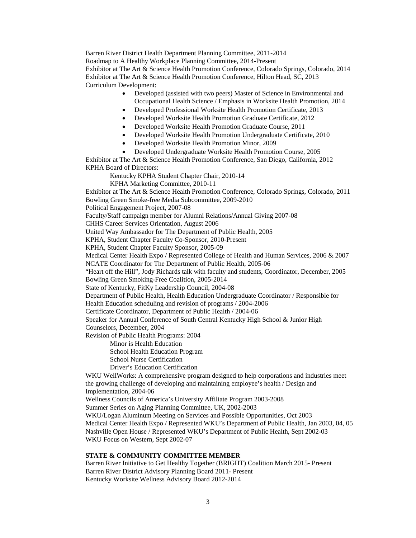Barren River District Health Department Planning Committee, 2011-2014 Roadmap to A Healthy Workplace Planning Committee, 2014-Present Exhibitor at The Art & Science Health Promotion Conference, Colorado Springs, Colorado, 2014 Exhibitor at The Art & Science Health Promotion Conference, Hilton Head, SC, 2013 Curriculum Development:

- Developed (assisted with two peers) Master of Science in Environmental and Occupational Health Science / Emphasis in Worksite Health Promotion, 2014
- Developed Professional Worksite Health Promotion Certificate, 2013
- Developed Worksite Health Promotion Graduate Certificate, 2012
- Developed Worksite Health Promotion Graduate Course, 2011
- Developed Worksite Health Promotion Undergraduate Certificate, 2010
- Developed Worksite Health Promotion Minor, 2009
- Developed Undergraduate Worksite Health Promotion Course, 2005

Exhibitor at The Art & Science Health Promotion Conference, San Diego, California, 2012 KPHA Board of Directors:

Kentucky KPHA Student Chapter Chair, 2010-14

KPHA Marketing Committee, 2010-11

Exhibitor at The Art & Science Health Promotion Conference, Colorado Springs, Colorado, 2011 Bowling Green Smoke-free Media Subcommittee, 2009-2010

Political Engagement Project, 2007-08

Faculty/Staff campaign member for Alumni Relations/Annual Giving 2007-08

CHHS Career Services Orientation, August 2006

United Way Ambassador for The Department of Public Health, 2005

KPHA, Student Chapter Faculty Co-Sponsor, 2010-Present

KPHA, Student Chapter Faculty Sponsor, 2005-09

Medical Center Health Expo / Represented College of Health and Human Services, 2006 & 2007 NCATE Coordinator for The Department of Public Health, 2005-06

"Heart off the Hill", Jody Richards talk with faculty and students, Coordinator, December, 2005 Bowling Green Smoking-Free Coalition, 2005-2014

State of Kentucky, FitKy Leadership Council, 2004-08

Department of Public Health, Health Education Undergraduate Coordinator / Responsible for

Health Education scheduling and revision of programs / 2004-2006

Certificate Coordinator, Department of Public Health / 2004-06

Speaker for Annual Conference of South Central Kentucky High School & Junior High

Counselors, December, 2004

Revision of Public Health Programs: 2004

Minor is Health Education

School Health Education Program

School Nurse Certification

Driver's Education Certification

WKU WellWorks: A comprehensive program designed to help corporations and industries meet the growing challenge of developing and maintaining employee's health / Design and Implementation, 2004-06

Wellness Councils of America's University Affiliate Program 2003-2008

Summer Series on Aging Planning Committee, UK, 2002-2003

WKU/Logan Aluminum Meeting on Services and Possible Opportunities, Oct 2003 Medical Center Health Expo / Represented WKU's Department of Public Health, Jan 2003, 04, 05 Nashville Open House / Represented WKU's Department of Public Health, Sept 2002-03 WKU Focus on Western, Sept 2002-07

# **STATE & COMMUNITY COMMITTEE MEMBER**

Barren River Initiative to Get Healthy Together (BRIGHT) Coalition March 2015- Present Barren River District Advisory Planning Board 2011- Present Kentucky Worksite Wellness Advisory Board 2012-2014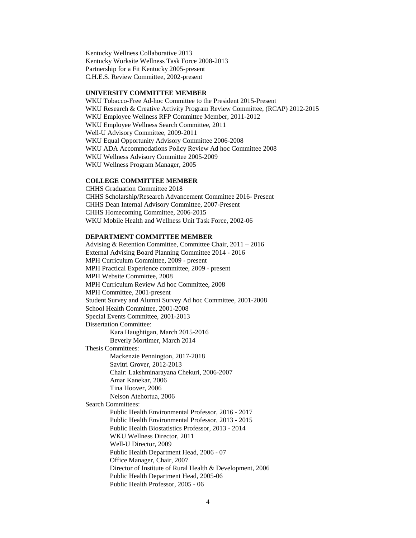Kentucky Wellness Collaborative 2013 Kentucky Worksite Wellness Task Force 2008-2013 Partnership for a Fit Kentucky 2005-present C.H.E.S. Review Committee, 2002-present

#### **UNIVERSITY COMMITTEE MEMBER**

WKU Tobacco-Free Ad-hoc Committee to the President 2015-Present WKU Research & Creative Activity Program Review Committee, (RCAP) 2012-2015 WKU Employee Wellness RFP Committee Member, 2011-2012 WKU Employee Wellness Search Committee, 2011 Well-U Advisory Committee, 2009-2011 WKU Equal Opportunity Advisory Committee 2006-2008 WKU ADA Accommodations Policy Review Ad hoc Committee 2008 WKU Wellness Advisory Committee 2005-2009 WKU Wellness Program Manager, 2005

#### **COLLEGE COMMITTEE MEMBER**

CHHS Graduation Committee 2018 CHHS Scholarship/Research Advancement Committee 2016- Present CHHS Dean Internal Advisory Committee, 2007-Present CHHS Homecoming Committee, 2006-2015 WKU Mobile Health and Wellness Unit Task Force, 2002-06

#### **DEPARTMENT COMMITTEE MEMBER**

Advising & Retention Committee, Committee Chair, 2011 – 2016 External Advising Board Planning Committee 2014 - 2016 MPH Curriculum Committee, 2009 - present MPH Practical Experience committee, 2009 - present MPH Website Committee, 2008 MPH Curriculum Review Ad hoc Committee, 2008 MPH Committee, 2001-present Student Survey and Alumni Survey Ad hoc Committee, 2001-2008 School Health Committee, 2001-2008 Special Events Committee, 2001-2013 Dissertation Committee: Kara Haughtigan, March 2015-2016 Beverly Mortimer, March 2014 Thesis Committees: Mackenzie Pennington, 2017-2018 Savitri Grover, 2012-2013 Chair: Lakshminarayana Chekuri, 2006-2007 Amar Kanekar, 2006 Tina Hoover, 2006 Nelson Atehortua, 2006 Search Committees: Public Health Environmental Professor, 2016 - 2017 Public Health Environmental Professor, 2013 - 2015 Public Health Biostatistics Professor, 2013 - 2014 WKU Wellness Director, 2011 Well-U Director, 2009 Public Health Department Head, 2006 - 07 Office Manager, Chair, 2007 Director of Institute of Rural Health & Development, 2006 Public Health Department Head, 2005-06 Public Health Professor, 2005 - 06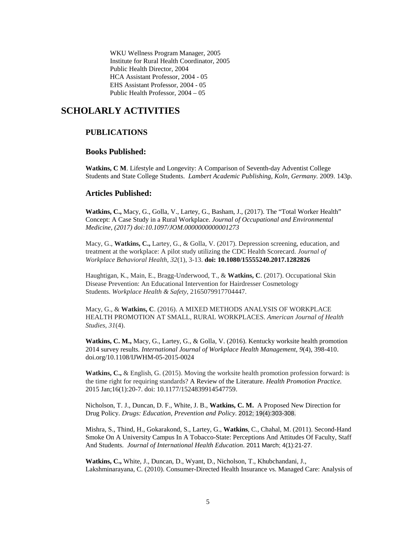WKU Wellness Program Manager, 2005 Institute for Rural Health Coordinator, 2005 Public Health Director, 2004 HCA Assistant Professor, 2004 - 05 EHS Assistant Professor, 2004 - 05 Public Health Professor, 2004 – 05

# **SCHOLARLY ACTIVITIES**

# **PUBLICATIONS**

# **Books Published:**

**Watkins, C M**. Lifestyle and Longevity: A Comparison of Seventh-day Adventist College Students and State College Students. *Lambert Academic Publishing, Koln, Germany.* 2009. 143p.

# **Articles Published:**

**Watkins, C.,** Macy, G., Golla, V., Lartey, G., Basham, J., (2017). The "Total Worker Health" Concept: A Case Study in a Rural Workplace. *Journal of Occupational and Environmental Medicine, (2017) doi:10.1097/JOM.0000000000001273*

Macy, G., **Watkins, C.,** Lartey, G., & Golla, V. (2017). Depression screening, education, and treatment at the workplace: A pilot study utilizing the CDC Health Scorecard. *Journal of Workplace Behavioral Health*, *32*(1), 3-13. **doi: 10.1080/15555240.2017.1282826**

Haughtigan, K., Main, E., Bragg-Underwood, T., & **Watkins, C**. (2017). Occupational Skin Disease Prevention: An Educational Intervention for Hairdresser Cosmetology Students. *Workplace Health & Safety*, 2165079917704447.

Macy, G., & **Watkins, C**. (2016). A MIXED METHODS ANALYSIS OF WORKPLACE HEALTH PROMOTION AT SMALL, RURAL WORKPLACES. *American Journal of Health Studies*, *31*(4).

**Watkins, C. M.,** Macy, G., Lartey, G., & Golla, V. (2016). Kentucky worksite health promotion 2014 survey results. *International Journal of Workplace Health Management*, *9*(4), 398-410. doi.org/10.1108/IJWHM-05-2015-0024

**Watkins, C.,** & English, G. (2015). Moving the worksite health promotion profession forward: is the time right for requiring standards? A Review of the Literature. *Health Promotion Practice.* 2015 Jan;16(1):20-7. doi: 10.1177/1524839914547759.

Nicholson, T. J., Duncan, D. F., White, J. B., **Watkins, C. M.** A Proposed New Direction for Drug Policy. *Drugs: Education, Prevention and Policy*. 2012; 19(4):303-308.

Mishra, S., Thind, H., Gokarakond, S., Lartey, G., **Watkins**, C., Chahal, M. (2011). Second-Hand Smoke On A University Campus In A Tobacco-State: Perceptions And Attitudes Of Faculty, Staff And Students. *Journal of International Health Education*. 2011 March; 4(1):21-27.

**Watkins, C.,** White, J., Duncan, D., Wyant, D., Nicholson, T., Khubchandani, J., Lakshminarayana, C. (2010). Consumer-Directed Health Insurance vs. Managed Care: Analysis of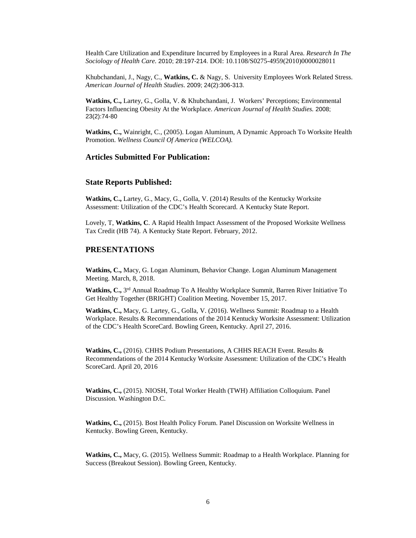Health Care Utilization and Expenditure Incurred by Employees in a Rural Area. *Research In The Sociology of Health Care.* 2010; 28:197-214. DOI: 10.1108/S0275-4959(2010)0000028011

Khubchandani, J., Nagy, C., **Watkins, C.** & Nagy, S. University Employees Work Related Stress. *American Journal of Health Studies*. 2009; 24(2):306-313.

**Watkins, C.,** Lartey, G., Golla, V. & Khubchandani, J. Workers' Perceptions; Environmental Factors Influencing Obesity At the Workplace. *American Journal of Health Studies.* 2008; 23(2):74-80

**Watkins, C.,** Wainright, C., (2005). Logan Aluminum, A Dynamic Approach To Worksite Health Promotion. *Wellness Council Of America (WELCOA).* 

# **Articles Submitted For Publication:**

# **State Reports Published:**

**Watkins, C.,** Lartey, G., Macy, G., Golla, V. (2014) Results of the Kentucky Worksite Assessment: Utilization of the CDC's Health Scorecard. A Kentucky State Report.

Lovely, T, **Watkins, C**. A Rapid Health Impact Assessment of the Proposed Worksite Wellness Tax Credit (HB 74). A Kentucky State Report. February, 2012.

# **PRESENTATIONS**

**Watkins, C.,** Macy, G. Logan Aluminum, Behavior Change. Logan Aluminum Management Meeting. March, 8, 2018.

**Watkins, C.,** 3rd Annual Roadmap To A Healthy Workplace Summit, Barren River Initiative To Get Healthy Together (BRIGHT) Coalition Meeting. November 15, 2017.

**Watkins, C.,** Macy, G. Lartey, G., Golla, V. (2016). Wellness Summit: Roadmap to a Health Workplace. Results & Recommendations of the 2014 Kentucky Worksite Assessment: Utilization of the CDC's Health ScoreCard. Bowling Green, Kentucky. April 27, 2016.

Watkins, C., (2016). CHHS Podium Presentations, A CHHS REACH Event. Results & Recommendations of the 2014 Kentucky Worksite Assessment: Utilization of the CDC's Health ScoreCard. April 20, 2016

**Watkins, C.,** (2015). NIOSH, Total Worker Health (TWH) Affiliation Colloquium. Panel Discussion. Washington D.C.

**Watkins, C.,** (2015). Bost Health Policy Forum. Panel Discussion on Worksite Wellness in Kentucky. Bowling Green, Kentucky.

**Watkins, C.,** Macy, G. (2015). Wellness Summit: Roadmap to a Health Workplace. Planning for Success (Breakout Session). Bowling Green, Kentucky.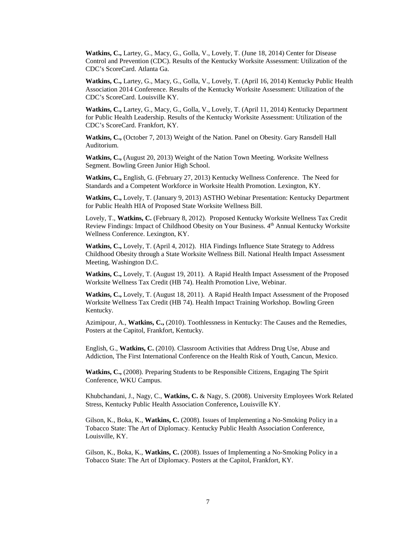**Watkins, C.,** Lartey, G., Macy, G., Golla, V., Lovely, T. (June 18, 2014) Center for Disease Control and Prevention (CDC). Results of the Kentucky Worksite Assessment: Utilization of the CDC's ScoreCard. Atlanta Ga.

**Watkins, C.,** Lartey, G., Macy, G., Golla, V., Lovely, T. (April 16, 2014) Kentucky Public Health Association 2014 Conference. Results of the Kentucky Worksite Assessment: Utilization of the CDC's ScoreCard. Louisville KY.

**Watkins, C.,** Lartey, G., Macy, G., Golla, V., Lovely, T. (April 11, 2014) Kentucky Department for Public Health Leadership. Results of the Kentucky Worksite Assessment: Utilization of the CDC's ScoreCard. Frankfort, KY.

**Watkins, C.,** (October 7, 2013) Weight of the Nation. Panel on Obesity. Gary Ransdell Hall Auditorium.

**Watkins, C.,** (August 20, 2013) Weight of the Nation Town Meeting. Worksite Wellness Segment. Bowling Green Junior High School.

**Watkins, C.,** English, G. (February 27, 2013) Kentucky Wellness Conference. The Need for Standards and a Competent Workforce in Worksite Health Promotion. Lexington, KY.

**Watkins, C.,** Lovely, T. (January 9, 2013) ASTHO Webinar Presentation: Kentucky Department for Public Health HIA of Proposed State Worksite Wellness Bill.

Lovely, T., **Watkins, C.** (February 8, 2012). Proposed Kentucky Worksite Wellness Tax Credit Review Findings: Impact of Childhood Obesity on Your Business. 4th Annual Kentucky Worksite Wellness Conference. Lexington, KY.

**Watkins, C.,** Lovely, T. (April 4, 2012). HIA Findings Influence State Strategy to Address Childhood Obesity through a State Worksite Wellness Bill. National Health Impact Assessment Meeting, Washington D.C.

**Watkins, C.,** Lovely, T. (August 19, 2011). A Rapid Health Impact Assessment of the Proposed Worksite Wellness Tax Credit (HB 74). Health Promotion Live, Webinar.

**Watkins, C.,** Lovely, T. (August 18, 2011). A Rapid Health Impact Assessment of the Proposed Worksite Wellness Tax Credit (HB 74). Health Impact Training Workshop. Bowling Green Kentucky.

Azimipour, A., **Watkins, C.,** (2010). Toothlessness in Kentucky: The Causes and the Remedies, Posters at the Capitol, Frankfort, Kentucky.

English, G., **Watkins, C.** (2010). Classroom Activities that Address Drug Use, Abuse and Addiction, The First International Conference on the Health Risk of Youth, Cancun, Mexico.

**Watkins, C.,** (2008). Preparing Students to be Responsible Citizens, Engaging The Spirit Conference, WKU Campus.

Khubchandani, J., Nagy, C., **Watkins, C.** & Nagy, S. (2008). University Employees Work Related Stress, Kentucky Public Health Association Conference**,** Louisville KY.

Gilson, K., Boka, K., **Watkins, C.** (2008). Issues of Implementing a No-Smoking Policy in a Tobacco State: The Art of Diplomacy. Kentucky Public Health Association Conference, Louisville, KY.

Gilson, K., Boka, K., **Watkins, C.** (2008). Issues of Implementing a No-Smoking Policy in a Tobacco State: The Art of Diplomacy. Posters at the Capitol, Frankfort, KY.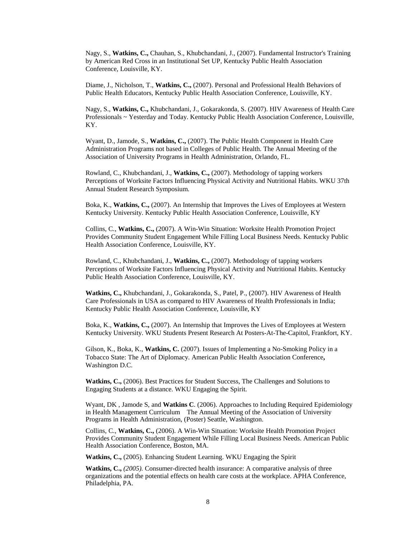Nagy, S., **Watkins, C.,** Chauhan, S., Khubchandani, J., (2007). Fundamental Instructor's Training by American Red Cross in an Institutional Set UP, Kentucky Public Health Association Conference, Louisville, KY.

Diame, J., Nicholson, T., **Watkins, C.,** (2007). Personal and Professional Health Behaviors of Public Health Educators, Kentucky Public Health Association Conference, Louisville, KY.

Nagy, S., **Watkins, C.,** Khubchandani, J., Gokarakonda, S. (2007). HIV Awareness of Health Care Professionals ~ Yesterday and Today. Kentucky Public Health Association Conference, Louisville, KY.

Wyant, D., Jamode, S., **Watkins, C.,** (2007). The Public Health Component in Health Care Administration Programs not based in Colleges of Public Health. The Annual Meeting of the Association of University Programs in Health Administration, Orlando, FL.

Rowland, C., Khubchandani, J., **Watkins, C.,** (2007). Methodology of tapping workers Perceptions of Worksite Factors Influencing Physical Activity and Nutritional Habits. WKU 37th Annual Student Research Symposium.

Boka, K., **Watkins, C.,** (2007). An Internship that Improves the Lives of Employees at Western Kentucky University. Kentucky Public Health Association Conference, Louisville, KY

Collins, C., **Watkins, C.,** (2007). A Win-Win Situation: Worksite Health Promotion Project Provides Community Student Engagement While Filling Local Business Needs. Kentucky Public Health Association Conference, Louisville, KY.

Rowland, C., Khubchandani, J., **Watkins, C.,** (2007). Methodology of tapping workers Perceptions of Worksite Factors Influencing Physical Activity and Nutritional Habits. Kentucky Public Health Association Conference, Louisville, KY.

**Watkins, C.,** Khubchandani, J., Gokarakonda, S., Patel, P., (2007). HIV Awareness of Health Care Professionals in USA as compared to HIV Awareness of Health Professionals in India; Kentucky Public Health Association Conference, Louisville, KY

Boka, K., **Watkins, C.,** (2007). An Internship that Improves the Lives of Employees at Western Kentucky University. WKU Students Present Research At Posters-At-The-Capitol, Frankfort, KY.

Gilson, K., Boka, K., **Watkins, C.** (2007). Issues of Implementing a No-Smoking Policy in a Tobacco State: The Art of Diplomacy. American Public Health Association Conference**,**  Washington D.C.

**Watkins, C.,** (2006). Best Practices for Student Success, The Challenges and Solutions to Engaging Students at a distance. WKU Engaging the Spirit.

Wyant, DK , Jamode S, and **Watkins C**. (2006). Approaches to Including Required Epidemiology in Health Management Curriculum The Annual Meeting of the Association of University Programs in Health Administration, (Poster) Seattle, Washington.

Collins, C., **Watkins, C.,** (2006). A Win-Win Situation: Worksite Health Promotion Project Provides Community Student Engagement While Filling Local Business Needs. American Public Health Association Conference, Boston, MA.

**Watkins, C.,** (2005). Enhancing Student Learning. WKU Engaging the Spirit

**Watkins, C.,** *(2005).* Consumer-directed health insurance: A comparative analysis of three organizations and the potential effects on health care costs at the workplace. APHA Conference, Philadelphia, PA.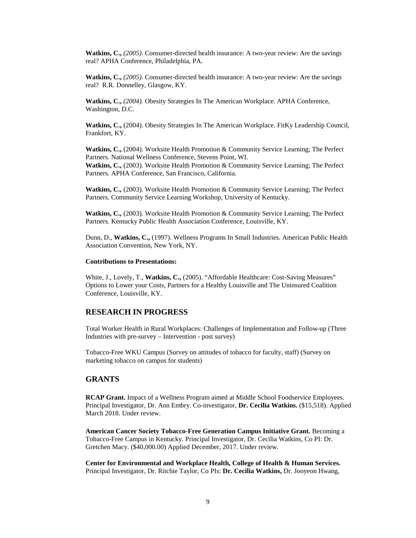**Watkins, C.,** *(2005).* Consumer-directed health insurance: A two-year review: Are the savings real? APHA Conference, Philadelphia, PA.

**Watkins, C.,** *(2005).* Consumer-directed health insurance: A two-year review: Are the savings real? R.R. Donnelley, Glasgow, KY.

**Watkins, C.,** *(2004).* Obesity Strategies In The American Workplace. APHA Conference, Washington, D.C.

**Watkins, C.,** (2004). Obesity Strategies In The American Workplace. FitKy Leadership Council, Frankfort, KY.

**Watkins, C.,** (2004). Worksite Health Promotion & Community Service Learning; The Perfect Partners*.* National Wellness Conference, Stevens Point, WI.

**Watkins, C.,** (2003). Worksite Health Promotion & Community Service Learning; The Perfect Partners*.* APHA Conference, San Francisco, California.

**Watkins, C.,** (2003). Worksite Health Promotion & Community Service Learning; The Perfect Partners*.* Community Service Learning Workshop, University of Kentucky.

**Watkins, C.,** (2003). Worksite Health Promotion & Community Service Learning; The Perfect Partners*.* Kentucky Public Health Association Conference, Louisville, KY.

Dunn, D., **Watkins, C.,** (1997). Wellness Programs In Small Industries. American Public Health Association Convention, New York, NY.

### **Contributions to Presentations:**

White, J., Lovely, T., **Watkins, C.,** (2005). "Affordable Healthcare: Cost-Saving Measures" Options to Lower your Costs, Partners for a Healthy Louisville and The Uninsured Coalition Conference, Louisville, KY.

# **RESEARCH IN PROGRESS**

Total Worker Health in Rural Workplaces: Challenges of Implementation and Follow-up (Three Industries with pre-survey – Intervention - post survey)

Tobacco-Free WKU Campus (Survey on attitudes of tobacco for faculty, staff) (Survey on marketing tobacco on campus for students)

# **GRANTS**

**RCAP Grant.** Impact of a Wellness Program aimed at Middle School Foodservice Employees. Principal Investigator, Dr. Ann Embry. Co-investigator, **Dr. Cecilia Watkins.** (\$15,518). Applied March 2018. Under review.

**American Cancer Society Tobacco-Free Generation Campus Initiative Grant.** Becoming a Tobacco-Free Campus in Kentucky. Principal Investigator, Dr. Cecilia Watkins, Co PI: Dr. Gretchen Macy. (\$40,000.00) Applied December, 2017. Under review.

**Center for Environmental and Workplace Health, College of Health & Human Services.** Principal Investigator, Dr. Ritchie Taylor, Co PIs: **Dr. Cecilia Watkins,** Dr. Jooyeon Hwang,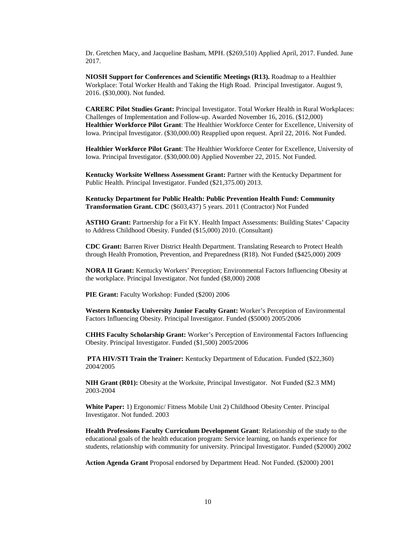Dr. Gretchen Macy, and Jacqueline Basham, MPH. (\$269,510) Applied April, 2017. Funded. June 2017.

**NIOSH Support for Conferences and Scientific Meetings (R13).** Roadmap to a Healthier Workplace: Total Worker Health and Taking the High Road. Principal Investigator. August 9, 2016. (\$30,000). Not funded.

**CARERC Pilot Studies Grant:** Principal Investigator. Total Worker Health in Rural Workplaces: Challenges of Implementation and Follow-up. Awarded November 16, 2016. (\$12,000) **Healthier Workforce Pilot Grant**: The Healthier Workforce Center for Excellence, University of Iowa. Principal Investigator. (\$30,000.00) Reapplied upon request. April 22, 2016. Not Funded.

**Healthier Workforce Pilot Grant**: The Healthier Workforce Center for Excellence, University of Iowa. Principal Investigator. (\$30,000.00) Applied November 22, 2015. Not Funded.

**Kentucky Worksite Wellness Assessment Grant:** Partner with the Kentucky Department for Public Health. Principal Investigator. Funded (\$21,375.00) 2013.

**Kentucky Department for Public Health: Public Prevention Health Fund: Community Transformation Grant. CDC** (\$603,437) 5 years. 2011 (Contractor) Not Funded

**ASTHO Grant:** Partnership for a Fit KY. Health Impact Assessments: Building States' Capacity to Address Childhood Obesity. Funded (\$15,000) 2010. (Consultant)

**CDC Grant:** Barren River District Health Department. Translating Research to Protect Health through Health Promotion, Prevention, and Preparedness (R18). Not Funded (\$425,000) 2009

**NORA II Grant:** Kentucky Workers' Perception; Environmental Factors Influencing Obesity at the workplace. Principal Investigator. Not funded (\$8,000) 2008

**PIE Grant:** Faculty Workshop: Funded (\$200) 2006

**Western Kentucky University Junior Faculty Grant:** Worker's Perception of Environmental Factors Influencing Obesity. Principal Investigator. Funded (\$5000) 2005/2006

**CHHS Faculty Scholarship Grant:** Worker's Perception of Environmental Factors Influencing Obesity. Principal Investigator. Funded (\$1,500) 2005/2006

**PTA HIV/STI Train the Trainer:** Kentucky Department of Education. Funded (\$22,360) 2004/2005

**NIH Grant (R01):** Obesity at the Worksite, Principal Investigator. Not Funded (\$2.3 MM) 2003-2004

**White Paper:** 1) Ergonomic/ Fitness Mobile Unit 2) Childhood Obesity Center. Principal Investigator. Not funded. 2003

**Health Professions Faculty Curriculum Development Grant**: Relationship of the study to the educational goals of the health education program: Service learning, on hands experience for students, relationship with community for university. Principal Investigator. Funded (\$2000) 2002

**Action Agenda Grant** Proposal endorsed by Department Head. Not Funded. (\$2000) 2001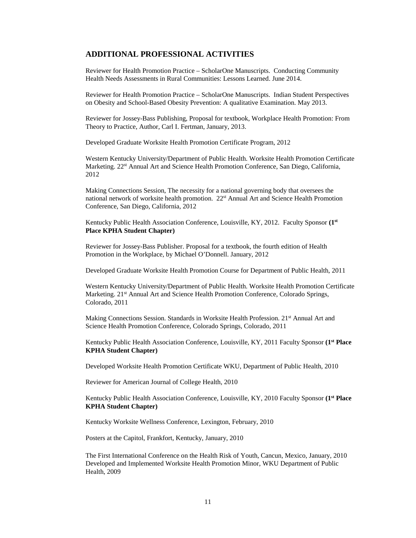# **ADDITIONAL PROFESSIONAL ACTIVITIES**

Reviewer for Health Promotion Practice – ScholarOne Manuscripts. Conducting Community Health Needs Assessments in Rural Communities: Lessons Learned. June 2014.

Reviewer for Health Promotion Practice – ScholarOne Manuscripts. Indian Student Perspectives on Obesity and School-Based Obesity Prevention: A qualitative Examination. May 2013.

Reviewer for Jossey-Bass Publishing, Proposal for textbook, Workplace Health Promotion: From Theory to Practice, Author, Carl I. Fertman, January, 2013.

Developed Graduate Worksite Health Promotion Certificate Program, 2012

Western Kentucky University/Department of Public Health. Worksite Health Promotion Certificate Marketing. 22<sup>st</sup> Annual Art and Science Health Promotion Conference, San Diego, California, 2012

Making Connections Session, The necessity for a national governing body that oversees the national network of worksite health promotion. 22<sup>st</sup> Annual Art and Science Health Promotion Conference, San Diego, California, 2012

Kentucky Public Health Association Conference, Louisville, KY, 2012. Faculty Sponsor **(1st Place KPHA Student Chapter)**

Reviewer for Jossey-Bass Publisher. Proposal for a textbook, the fourth edition of Health Promotion in the Workplace, by Michael O'Donnell. January, 2012

Developed Graduate Worksite Health Promotion Course for Department of Public Health, 2011

Western Kentucky University/Department of Public Health. Worksite Health Promotion Certificate Marketing. 21<sup>st</sup> Annual Art and Science Health Promotion Conference, Colorado Springs, Colorado, 2011

Making Connections Session. Standards in Worksite Health Profession. 21<sup>st</sup> Annual Art and Science Health Promotion Conference, Colorado Springs, Colorado, 2011

Kentucky Public Health Association Conference, Louisville, KY, 2011 Faculty Sponsor **(1st Place KPHA Student Chapter)**

Developed Worksite Health Promotion Certificate WKU, Department of Public Health, 2010

Reviewer for American Journal of College Health, 2010

Kentucky Public Health Association Conference, Louisville, KY, 2010 Faculty Sponsor **(1st Place KPHA Student Chapter)**

Kentucky Worksite Wellness Conference, Lexington, February, 2010

Posters at the Capitol, Frankfort, Kentucky, January, 2010

The First International Conference on the Health Risk of Youth, Cancun, Mexico, January, 2010 Developed and Implemented Worksite Health Promotion Minor, WKU Department of Public Health, 2009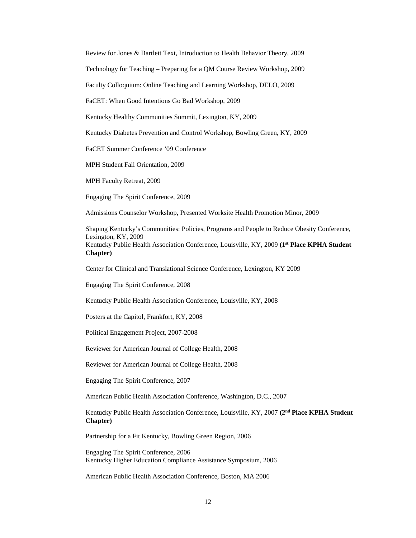Review for Jones & Bartlett Text, Introduction to Health Behavior Theory, 2009

Technology for Teaching – Preparing for a QM Course Review Workshop, 2009

Faculty Colloquium: Online Teaching and Learning Workshop, DELO, 2009

FaCET: When Good Intentions Go Bad Workshop, 2009

Kentucky Healthy Communities Summit, Lexington, KY, 2009

Kentucky Diabetes Prevention and Control Workshop, Bowling Green, KY, 2009

FaCET Summer Conference '09 Conference

MPH Student Fall Orientation, 2009

MPH Faculty Retreat, 2009

Engaging The Spirit Conference, 2009

Admissions Counselor Workshop, Presented Worksite Health Promotion Minor, 2009

Shaping Kentucky's Communities: Policies, Programs and People to Reduce Obesity Conference, Lexington, KY, 2009 Kentucky Public Health Association Conference, Louisville, KY, 2009 **(1st Place KPHA Student Chapter)**

Center for Clinical and Translational Science Conference, Lexington, KY 2009

Engaging The Spirit Conference, 2008

Kentucky Public Health Association Conference, Louisville, KY, 2008

Posters at the Capitol, Frankfort, KY, 2008

Political Engagement Project, 2007-2008

Reviewer for American Journal of College Health, 2008

Reviewer for American Journal of College Health, 2008

Engaging The Spirit Conference, 2007

American Public Health Association Conference, Washington, D.C., 2007

Kentucky Public Health Association Conference, Louisville, KY, 2007 **(2nd Place KPHA Student Chapter)**

Partnership for a Fit Kentucky, Bowling Green Region, 2006

Engaging The Spirit Conference, 2006 Kentucky Higher Education Compliance Assistance Symposium, 2006

American Public Health Association Conference, Boston, MA 2006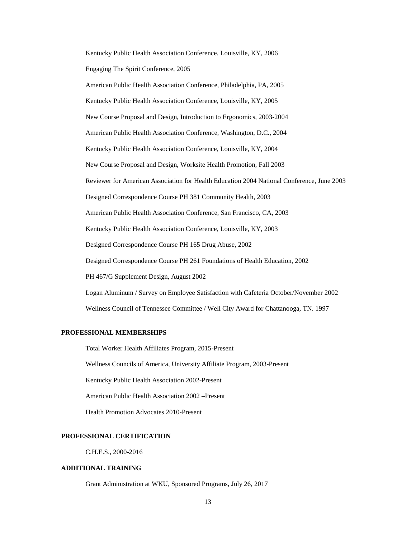Kentucky Public Health Association Conference, Louisville, KY, 2006 Engaging The Spirit Conference, 2005

American Public Health Association Conference, Philadelphia, PA, 2005

Kentucky Public Health Association Conference, Louisville, KY, 2005 New Course Proposal and Design, Introduction to Ergonomics, 2003-2004 American Public Health Association Conference, Washington, D.C., 2004 Kentucky Public Health Association Conference, Louisville, KY, 2004 New Course Proposal and Design, Worksite Health Promotion, Fall 2003 Reviewer for American Association for Health Education 2004 National Conference, June 2003 Designed Correspondence Course PH 381 Community Health, 2003 American Public Health Association Conference, San Francisco, CA, 2003 Kentucky Public Health Association Conference, Louisville, KY, 2003 Designed Correspondence Course PH 165 Drug Abuse, 2002 Designed Correspondence Course PH 261 Foundations of Health Education, 2002 PH 467/G Supplement Design, August 2002 Logan Aluminum / Survey on Employee Satisfaction with Cafeteria October/November 2002 Wellness Council of Tennessee Committee / Well City Award for Chattanooga, TN. 1997

# **PROFESSIONAL MEMBERSHIPS**

Total Worker Health Affiliates Program, 2015-Present

Wellness Councils of America, University Affiliate Program, 2003-Present

Kentucky Public Health Association 2002-Present

American Public Health Association 2002 –Present

Health Promotion Advocates 2010-Present

# **PROFESSIONAL CERTIFICATION**

C.H.E.S., 2000-2016

# **ADDITIONAL TRAINING**

Grant Administration at WKU, Sponsored Programs, July 26, 2017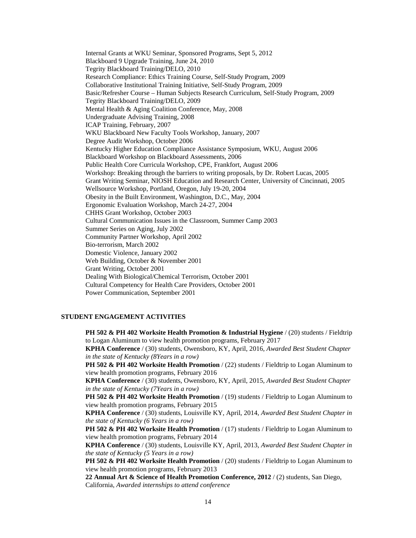Internal Grants at WKU Seminar, Sponsored Programs, Sept 5, 2012 Blackboard 9 Upgrade Training, June 24, 2010 Tegrity Blackboard Training/DELO, 2010 Research Compliance: Ethics Training Course, Self-Study Program, 2009 Collaborative Institutional Training Initiative, Self-Study Program, 2009 Basic/Refresher Course – Human Subjects Research Curriculum, Self-Study Program, 2009 Tegrity Blackboard Training/DELO, 2009 Mental Health & Aging Coalition Conference, May, 2008 Undergraduate Advising Training, 2008 ICAP Training, February, 2007 WKU Blackboard New Faculty Tools Workshop, January, 2007 Degree Audit Workshop, October 2006 Kentucky Higher Education Compliance Assistance Symposium, WKU, August 2006 Blackboard Workshop on Blackboard Assessments, 2006 Public Health Core Curricula Workshop, CPE, Frankfort, August 2006 Workshop: Breaking through the barriers to writing proposals, by Dr. Robert Lucas, 2005 Grant Writing Seminar, NIOSH Education and Research Center, University of Cincinnati, 2005 Wellsource Workshop, Portland, Oregon, July 19-20, 2004 Obesity in the Built Environment, Washington, D.C., May, 2004 Ergonomic Evaluation Workshop, March 24-27, 2004 CHHS Grant Workshop, October 2003 Cultural Communication Issues in the Classroom, Summer Camp 2003 Summer Series on Aging, July 2002 Community Partner Workshop, April 2002 Bio-terrorism, March 2002 Domestic Violence, January 2002 Web Building, October & November 2001 Grant Writing, October 2001 Dealing With Biological/Chemical Terrorism, October 2001 Cultural Competency for Health Care Providers, October 2001 Power Communication, September 2001

#### **STUDENT ENGAGEMENT ACTIVITIES**

**PH 502 & PH 402 Worksite Health Promotion & Industrial Hygiene** / (20) students / Fieldtrip to Logan Aluminum to view health promotion programs, February 2017 **KPHA Conference** / (30) students, Owensboro, KY, April, 2016, *Awarded Best Student Chapter in the state of Kentucky (8Years in a row)* **PH 502 & PH 402 Worksite Health Promotion** / (22) students / Fieldtrip to Logan Aluminum to view health promotion programs, February 2016 **KPHA Conference** / (30) students, Owensboro, KY, April, 2015, *Awarded Best Student Chapter in the state of Kentucky (7Years in a row)* **PH 502 & PH 402 Worksite Health Promotion** / (19) students / Fieldtrip to Logan Aluminum to view health promotion programs, February 2015 **KPHA Conference** / (30) students, Louisville KY, April, 2014, *Awarded Best Student Chapter in the state of Kentucky (6 Years in a row)* **PH 502 & PH 402 Worksite Health Promotion** / (17) students / Fieldtrip to Logan Aluminum to view health promotion programs, February 2014 **KPHA Conference** / (30) students, Louisville KY, April, 2013, *Awarded Best Student Chapter in the state of Kentucky (5 Years in a row)* **PH 502 & PH 402 Worksite Health Promotion** / (20) students / Fieldtrip to Logan Aluminum to view health promotion programs, February 2013 **22 Annual Art & Science of Health Promotion Conference, 2012** / (2) students, San Diego, California, *Awarded internships to attend conference*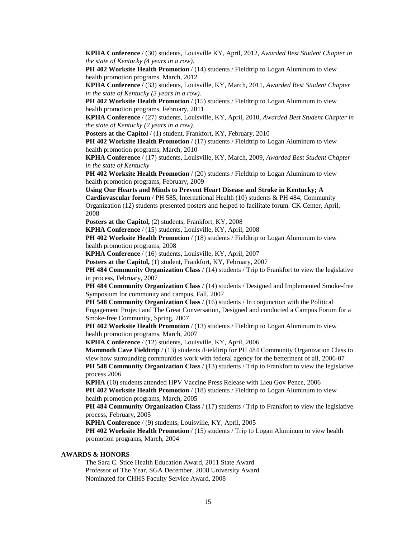**KPHA Conference** / (30) students, Louisville KY, April, 2012, *Awarded Best Student Chapter in the state of Kentucky (4 years in a row).*

**PH 402 Worksite Health Promotion** / (14) students / Fieldtrip to Logan Aluminum to view health promotion programs, March, 2012

**KPHA Conference /** (33) students, Louisville, KY, March, 2011, *Awarded Best Student Chapter in the state of Kentucky (3 years in a row).*

**PH 402 Worksite Health Promotion** / (15) students / Fieldtrip to Logan Aluminum to view health promotion programs, February, 2011

**KPHA Conference** / (27) students, Louisville, KY, April, 2010, *Awarded Best Student Chapter in the state of Kentucky (2 years in a row).*

**Posters at the Capitol** / (1) student, Frankfort, KY, February, 2010

**PH 402 Worksite Health Promotion** / (17) students / Fieldtrip to Logan Aluminum to view health promotion programs, March, 2010

**KPHA Conference** / (17) students, Louisville, KY, March, 2009, *Awarded Best Student Chapter in the state of Kentucky*

**PH 402 Worksite Health Promotion** / (20) students / Fieldtrip to Logan Aluminum to view health promotion programs, February, 2009

**Using Our Hearts and Minds to Prevent Heart Disease and Stroke in Kentucky; A Cardiovascular forum** / PH 585, International Health (10) students & PH 484, Community Organization (12) students presented posters and helped to facilitate forum. CK Center, April, 2008

**Posters at the Capitol,** (2) students, Frankfort, KY, 2008

**KPHA Conference** / (15) students, Louisville, KY, April, 2008

**PH 402 Worksite Health Promotion** / (18) students / Fieldtrip to Logan Aluminum to view health promotion programs, 2008

**KPHA Conference** / (16) students, Louisville, KY, April, 2007

Posters at the Capitol, (1) student, Frankfort, KY, February, 2007

**PH 484 Community Organization Class** / (14) students / Trip to Frankfort to view the legislative in process, February, 2007

**PH 484 Community Organization Class** / (14) students / Designed and Implemented Smoke-free Symposium for community and campus, Fall, 2007

**PH 548 Community Organization Class** / (16) students / In conjunction with the Political Engagement Project and The Great Conversation, Designed and conducted a Campus Forum for a Smoke-free Community, Spring, 2007

**PH 402 Worksite Health Promotion** / (13) students / Fieldtrip to Logan Aluminum to view health promotion programs, March, 2007

**KPHA Conference** / (12) students, Louisville, KY, April, 2006

**Mammoth Cave Fieldtrip** / (13) students /Fieldtrip for PH 484 Community Organization Class to view how surrounding communities work with federal agency for the betterment of all, 2006-07 **PH 548 Community Organization Class** / (13) students / Trip to Frankfort to view the legislative process 2006

**KPHA** (10) students attended HPV Vaccine Press Release with Lieu Gov Pence, 2006 **PH 402 Worksite Health Promotion** / (18) students / Fieldtrip to Logan Aluminum to view health promotion programs, March, 2005

**PH 484 Community Organization Class** / (17) students / Trip to Frankfort to view the legislative process, February, 2005

**KPHA Conference** / (9) students, Louisville, KY, April, 2005

**PH 402 Worksite Health Promotion** / (15) students / Trip to Logan Aluminum to view health promotion programs, March, 2004

# **AWARDS & HONORS**

The Sara C. Stice Health Education Award, 2011 State Award Professor of The Year, SGA December, 2008 University Award Nominated for CHHS Faculty Service Award, 2008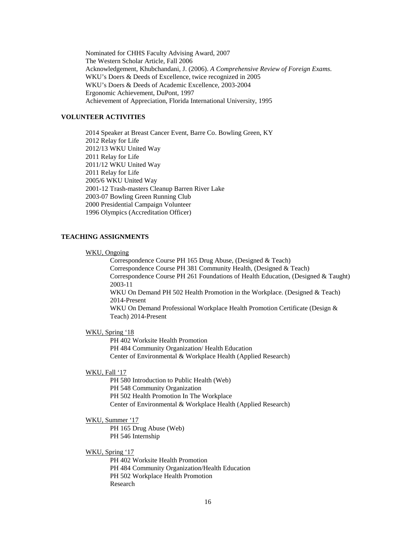Nominated for CHHS Faculty Advising Award, 2007 The Western Scholar Article, Fall 2006 Acknowledgement, Khubchandani, J. (2006). *A Comprehensive Review of Foreign Exams*. WKU's Doers & Deeds of Excellence, twice recognized in 2005 WKU's Doers & Deeds of Academic Excellence, 2003-2004 Ergonomic Achievement, DuPont, 1997 Achievement of Appreciation, Florida International University, 1995

## **VOLUNTEER ACTIVITIES**

2014 Speaker at Breast Cancer Event, Barre Co. Bowling Green, KY 2012 Relay for Life 2012/13 WKU United Way 2011 Relay for Life 2011/12 WKU United Way 2011 Relay for Life 2005/6 WKU United Way 2001-12 Trash-masters Cleanup Barren River Lake 2003-07 Bowling Green Running Club 2000 Presidential Campaign Volunteer 1996 Olympics (Accreditation Officer)

#### **TEACHING ASSIGNMENTS**

#### WKU, Ongoing

Correspondence Course PH 165 Drug Abuse, (Designed & Teach) Correspondence Course PH 381 Community Health, (Designed & Teach) Correspondence Course PH 261 Foundations of Health Education, (Designed & Taught) 2003-11 WKU On Demand PH 502 Health Promotion in the Workplace. (Designed & Teach) 2014-Present WKU On Demand Professional Workplace Health Promotion Certificate (Design & Teach) 2014-Present

# WKU, Spring '18

PH 402 Worksite Health Promotion PH 484 Community Organization/ Health Education Center of Environmental & Workplace Health (Applied Research)

#### WKU, Fall '17

PH 580 Introduction to Public Health (Web) PH 548 Community Organization PH 502 Health Promotion In The Workplace Center of Environmental & Workplace Health (Applied Research)

# WKU, Summer '17

PH 165 Drug Abuse (Web) PH 546 Internship

# WKU, Spring '17

PH 402 Worksite Health Promotion PH 484 Community Organization/Health Education PH 502 Workplace Health Promotion Research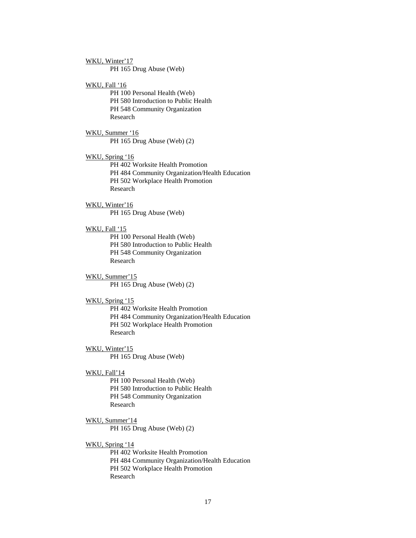WKU, Winter'17 PH 165 Drug Abuse (Web)

WKU, Fall '16

PH 100 Personal Health (Web) PH 580 Introduction to Public Health PH 548 Community Organization Research

WKU, Summer '16 PH 165 Drug Abuse (Web) (2)

WKU, Spring '16 PH 402 Worksite Health Promotion PH 484 Community Organization/Health Education PH 502 Workplace Health Promotion Research

WKU, Winter'16 PH 165 Drug Abuse (Web)

# WKU, Fall '15

PH 100 Personal Health (Web) PH 580 Introduction to Public Health PH 548 Community Organization Research

WKU, Summer'15 PH 165 Drug Abuse (Web) (2)

## WKU, Spring '15

PH 402 Worksite Health Promotion PH 484 Community Organization/Health Education PH 502 Workplace Health Promotion Research

WKU, Winter'15 PH 165 Drug Abuse (Web)

#### WKU, Fall'14

PH 100 Personal Health (Web) PH 580 Introduction to Public Health PH 548 Community Organization Research

WKU, Summer'14 PH 165 Drug Abuse (Web) (2)

WKU, Spring '14 PH 402 Worksite Health Promotion PH 484 Community Organization/Health Education PH 502 Workplace Health Promotion Research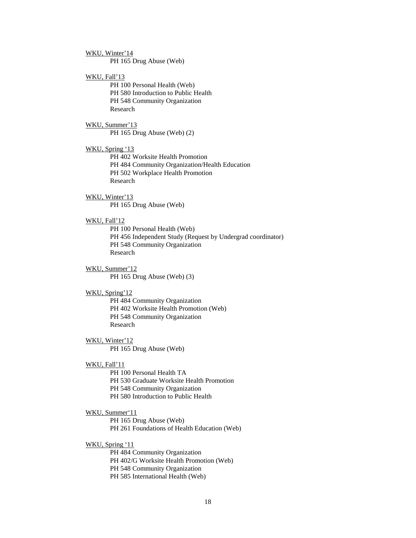WKU, Winter'14 PH 165 Drug Abuse (Web)

WKU, Fall'13 PH 100 Personal Health (Web) PH 580 Introduction to Public Health PH 548 Community Organization Research

WKU, Summer'13 PH 165 Drug Abuse (Web) (2)

WKU, Spring '13 PH 402 Worksite Health Promotion PH 484 Community Organization/Health Education PH 502 Workplace Health Promotion Research

WKU, Winter'13 PH 165 Drug Abuse (Web)

# WKU, Fall'12

PH 100 Personal Health (Web) PH 456 Independent Study (Request by Undergrad coordinator) PH 548 Community Organization Research

WKU, Summer'12 PH 165 Drug Abuse (Web) (3)

# WKU, Spring'12

PH 484 Community Organization PH 402 Worksite Health Promotion (Web) PH 548 Community Organization Research

WKU, Winter'12 PH 165 Drug Abuse (Web)

#### WKU, Fall'11

PH 100 Personal Health TA PH 530 Graduate Worksite Health Promotion PH 548 Community Organization PH 580 Introduction to Public Health

WKU, Summer'11 PH 165 Drug Abuse (Web)

PH 261 Foundations of Health Education (Web)

WKU, Spring '11

PH 484 Community Organization PH 402/G Worksite Health Promotion (Web) PH 548 Community Organization PH 585 International Health (Web)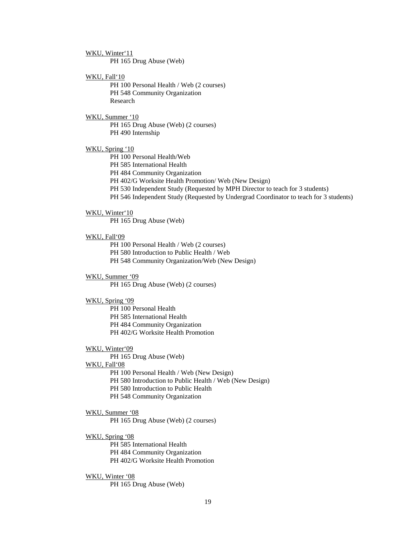#### WKU, Winter'11

PH 165 Drug Abuse (Web)

# WKU, Fall'10

PH 100 Personal Health / Web (2 courses) PH 548 Community Organization Research

# WKU, Summer '10

PH 165 Drug Abuse (Web) (2 courses) PH 490 Internship

# WKU, Spring '10

PH 100 Personal Health/Web

PH 585 International Health

PH 484 Community Organization

PH 402/G Worksite Health Promotion/ Web (New Design)

PH 530 Independent Study (Requested by MPH Director to teach for 3 students)

PH 546 Independent Study (Requested by Undergrad Coordinator to teach for 3 students)

#### WKU, Winter'10

PH 165 Drug Abuse (Web)

#### WKU, Fall'09

PH 100 Personal Health / Web (2 courses) PH 580 Introduction to Public Health / Web PH 548 Community Organization/Web (New Design)

#### WKU, Summer '09

PH 165 Drug Abuse (Web) (2 courses)

#### WKU, Spring '09

PH 100 Personal Health PH 585 International Health PH 484 Community Organization PH 402/G Worksite Health Promotion

# WKU, Winter'09

PH 165 Drug Abuse (Web)

#### WKU, Fall'08

PH 100 Personal Health / Web (New Design) PH 580 Introduction to Public Health / Web (New Design) PH 580 Introduction to Public Health PH 548 Community Organization

#### WKU, Summer '08

PH 165 Drug Abuse (Web) (2 courses)

# WKU, Spring '08

PH 585 International Health PH 484 Community Organization PH 402/G Worksite Health Promotion

## WKU, Winter '08

PH 165 Drug Abuse (Web)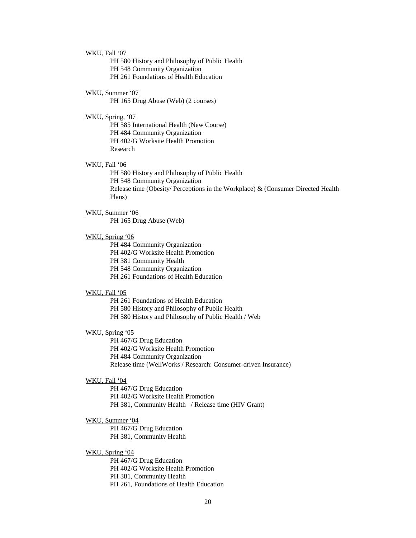#### WKU, Fall '07

PH 580 History and Philosophy of Public Health

PH 548 Community Organization

PH 261 Foundations of Health Education

## WKU, Summer '07

PH 165 Drug Abuse (Web) (2 courses)

#### WKU, Spring, '07

PH 585 International Health (New Course) PH 484 Community Organization PH 402/G Worksite Health Promotion Research

#### WKU, Fall '06

PH 580 History and Philosophy of Public Health PH 548 Community Organization Release time (Obesity/ Perceptions in the Workplace) & (Consumer Directed Health Plans)

#### WKU, Summer '06

PH 165 Drug Abuse (Web)

#### WKU, Spring '06

PH 484 Community Organization PH 402/G Worksite Health Promotion PH 381 Community Health PH 548 Community Organization PH 261 Foundations of Health Education

# WKU, Fall '05

PH 261 Foundations of Health Education PH 580 History and Philosophy of Public Health PH 580 History and Philosophy of Public Health / Web

#### WKU, Spring '05

PH 467/G Drug Education PH 402/G Worksite Health Promotion PH 484 Community Organization Release time (WellWorks / Research: Consumer-driven Insurance)

# WKU, Fall '04

PH 467/G Drug Education PH 402/G Worksite Health Promotion PH 381, Community Health / Release time (HIV Grant)

#### WKU, Summer '04

PH 467/G Drug Education PH 381, Community Health

## WKU, Spring '04

PH 467/G Drug Education PH 402/G Worksite Health Promotion PH 381, Community Health PH 261, Foundations of Health Education